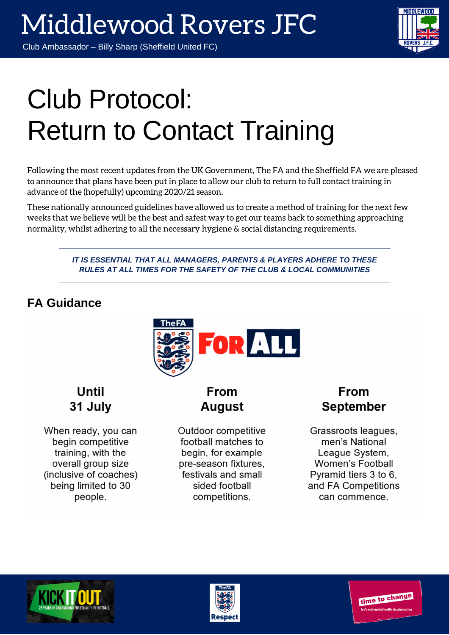### Club Ambassador – Billy Sharp (Sheffield United FC)

# Club Protocol: Return to Contact Training

Following the most recent updates from the UK Government, The FA and the Sheffield FA we are pleased to announce that plans have been put in place to allow our club to return to full contact training in advance of the (hopefully) upcoming 2020/21 season.

These nationally announced guidelines have allowed us to create a method of training for the next few weeks that we believe will be the best and safest way to get our teams back to something approaching normality, whilst adhering to all the necessary hygiene & social distancing requirements.

> *IT IS ESSENTIAL THAT ALL MANAGERS, PARENTS & PLAYERS ADHERE TO THESE RULES AT ALL TIMES FOR THE SAFETY OF THE CLUB & LOCAL COMMUNITIES*

## **FA Guidance**



**Until** 31 July

When ready, you can begin competitive training, with the overall group size (inclusive of coaches) being limited to 30 people.

## **From August**

Outdoor competitive football matches to begin, for example pre-season fixtures, festivals and small sided football competitions.

### **From September**

Grassroots leagues, men's National League System. **Women's Football** Pyramid tiers 3 to 6. and FA Competitions can commence.





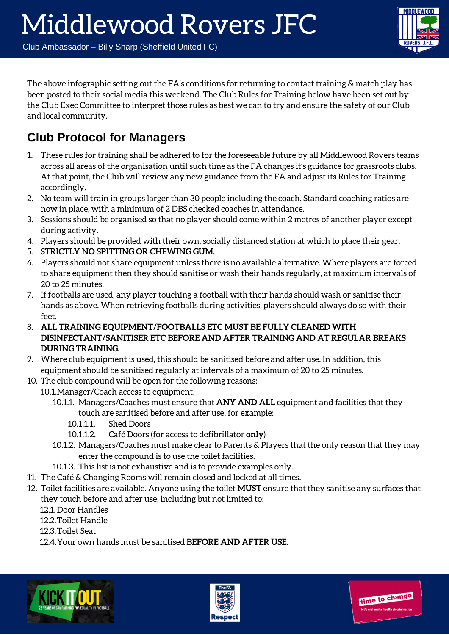# Middlewood Rovers JFC

Club Ambassador – Billy Sharp (Sheffield United FC)



The above infographic setting out the FA's conditions for returning to contact training & match play has been posted to their social media this weekend. The Club Rules for Training below have been set out by the Club Exec Committee to interpret those rules as best we can to try and ensure the safety of our Club and local community.

## **Club Protocol for Managers**

- 1. These rules for training shall be adhered to for the foreseeable future by all Middlewood Rovers teams across all areas of the organisation until such time as the FA changes it's guidance for grassroots clubs. At that point, the Club will review any new guidance from the FA and adjust its Rules for Training accordingly.
- 2. No team will train in groups larger than 30 people including the coach. Standard coaching ratios are now in place, with a minimum of 2 DBS checked coaches in attendance.
- 3. Sessions should be organised so that no player should come within 2 metres of another player except during activity.
- 4. Players should be provided with their own, socially distanced station at which to place their gear.
- 5. **STRICTLY NO SPITTING OR CHEWING GUM.**
- 6. Players should not share equipment unless there is no available alternative. Where players are forced to share equipment then they should sanitise or wash their hands regularly, at maximum intervals of 20 to 25 minutes.
- 7. If footballs are used, any player touching a football with their hands should wash or sanitise their hands as above. When retrieving footballs during activities, players should always do so with their feet.
- 8. **ALL TRAINING EQUIPMENT/FOOTBALLS ETC MUST BE FULLY CLEANED WITH DISINFECTANT/SANITISER ETC BEFORE AND AFTER TRAINING AND AT REGULAR BREAKS DURING TRAINING.**
- 9. Where club equipment is used, this should be sanitised before and after use. In addition, this equipment should be sanitised regularly at intervals of a maximum of 20 to 25 minutes.
- 10. The club compound will be open for the following reasons:
	- 10.1.Manager/Coach access to equipment.
		- 10.1.1. Managers/Coaches must ensure that **ANY AND ALL** equipment and facilities that they touch are sanitised before and after use, for example:
			- 10.1.1.1. Shed Doors
			- 10.1.1.2. Café Doors (for access to defibrillator **only**)
		- 10.1.2. Managers/Coaches must make clear to Parents & Players that the only reason that they may enter the compound is to use the toilet facilities.
		- 10.1.3. This list is not exhaustive and is to provide examples only.
- 11. The Café & Changing Rooms will remain closed and locked at all times.
- 12. Toilet facilities are available. Anyone using the toilet **MUST** ensure that they sanitise any surfaces that they touch before and after use, including but not limited to:
	- 12.1. Door Handles
	- 12.2.Toilet Handle
	- 12.3.Toilet Seat
	- 12.4.Your own hands must be sanitised **BEFORE AND AFTER USE.**





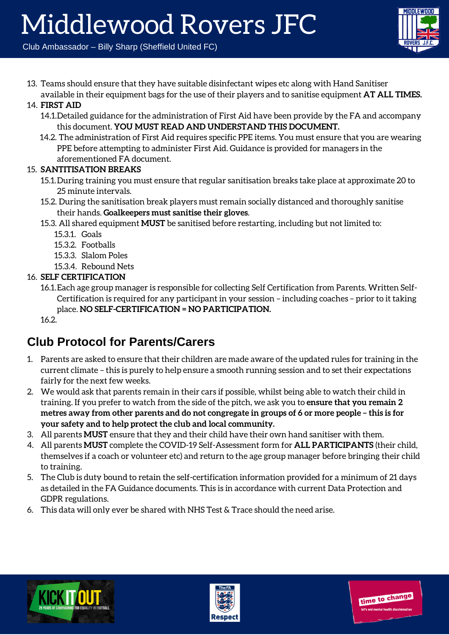Club Ambassador – Billy Sharp (Sheffield United FC)

13. Teams should ensure that they have suitable disinfectant wipes etc along with Hand Sanitiser available in their equipment bags for the use of their players and to sanitise equipment **AT ALL TIMES.**

#### 14. **FIRST AID**

- 14.1.Detailed guidance for the administration of First Aid have been provide by the FA and accompany this document. **YOU MUST READ AND UNDERSTAND THIS DOCUMENT.**
- 14.2. The administration of First Aid requires specific PPE items. You must ensure that you are wearing PPE before attempting to administer First Aid. Guidance is provided for managers in the aforementioned FA document.

#### 15. **SANTITISATION BREAKS**

- 15.1.During training you must ensure that regular sanitisation breaks take place at approximate 20 to 25 minute intervals.
- 15.2. During the sanitisation break players must remain socially distanced and thoroughly sanitise their hands. **Goalkeepers must sanitise their gloves**.
- 15.3. All shared equipment **MUST** be sanitised before restarting, including but not limited to:
	- 15.3.1. Goals
	- 15.3.2. Footballs
	- 15.3.3. Slalom Poles
	- 15.3.4. Rebound Nets

#### 16. **SELF CERTIFICATION**

16.1.Each age group manager is responsible for collecting Self Certification from Parents. Written Self-Certification is required for any participant in your session – including coaches – prior to it taking place. **NO SELF-CERTIFICATION = NO PARTICIPATION.**

16.2.

## **Club Protocol for Parents/Carers**

- 1. Parents are asked to ensure that their children are made aware of the updated rules for training in the current climate – this is purely to help ensure a smooth running session and to set their expectations fairly for the next few weeks.
- 2. We would ask that parents remain in their cars if possible, whilst being able to watch their child in training. If you prefer to watch from the side of the pitch, we ask you to **ensure that you remain 2 metres away from other parents and do not congregate in groups of 6 or more people – this is for your safety and to help protect the club and local community.**
- 3. All parents **MUST** ensure that they and their child have their own hand sanitiser with them.
- 4. All parents **MUST** complete the COVID-19 Self-Assessment form for **ALL PARTICIPANTS** (their child, themselves if a coach or volunteer etc) and return to the age group manager before bringing their child to training.
- 5. The Club is duty bound to retain the self-certification information provided for a minimum of 21 days as detailed in the FA Guidance documents. This is in accordance with current Data Protection and GDPR regulations.
- 6. This data will only ever be shared with NHS Test & Trace should the need arise.





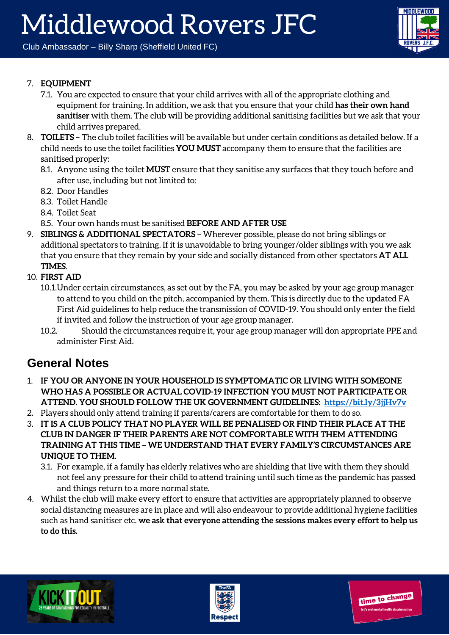Club Ambassador – Billy Sharp (Sheffield United FC)



time to change

#### 7. **EQUIPMENT**

- 7.1. You are expected to ensure that your child arrives with all of the appropriate clothing and equipment for training. In addition, we ask that you ensure that your child **has their own hand sanitiser** with them. The club will be providing additional sanitising facilities but we ask that your child arrives prepared.
- 8. **TOILETS** The club toilet facilities will be available but under certain conditions as detailed below. If a child needs to use the toilet facilities **YOU MUST** accompany them to ensure that the facilities are sanitised properly:
	- 8.1. Anyone using the toilet **MUST** ensure that they sanitise any surfaces that they touch before and after use, including but not limited to:
	- 8.2. Door Handles
	- 8.3. Toilet Handle
	- 8.4. Toilet Seat
	- 8.5. Your own hands must be sanitised **BEFORE AND AFTER USE**
- 9. **SIBLINGS & ADDITIONAL SPECTATORS** Wherever possible, please do not bring siblings or additional spectators to training. If it is unavoidable to bring younger/older siblings with you we ask that you ensure that they remain by your side and socially distanced from other spectators **AT ALL TIMES**.
- 10. **FIRST AID**
	- 10.1.Under certain circumstances, as set out by the FA, you may be asked by your age group manager to attend to you child on the pitch, accompanied by them. This is directly due to the updated FA First Aid guidelines to help reduce the transmission of COVID-19. You should only enter the field if invited and follow the instruction of your age group manager.
	- 10.2. Should the circumstances require it, your age group manager will don appropriate PPE and administer First Aid.

### **General Notes**

- 1. **IF YOU OR ANYONE IN YOUR HOUSEHOLD IS SYMPTOMATIC OR LIVING WITH SOMEONE WHO HAS A POSSIBLE OR ACTUAL COVID-19 INFECTION YOU MUST NOT PARTICIPATE OR ATTEND. YOU SHOULD FOLLOW THE UK GOVERNMENT GUIDELINES: https://bit.ly/3jjHv7v**
- 2. Players should only attend training if parents/carers are comfortable for them to do so.
- 3. **IT IS A CLUB POLICY THAT NO PLAYER WILL BE PENALISED OR FIND THEIR PLACE AT THE CLUB IN DANGER IF THEIR PARENTS ARE NOT COMFORTABLE WITH THEM ATTENDING TRAINING AT THIS TIME – WE UNDERSTAND THAT EVERY FAMILY'S CIRCUMSTANCES ARE UNIQUE TO THEM.**
	- 3.1. For example, if a family has elderly relatives who are shielding that live with them they should not feel any pressure for their child to attend training until such time as the pandemic has passed and things return to a more normal state.
- 4. Whilst the club will make every effort to ensure that activities are appropriately planned to observe social distancing measures are in place and will also endeavour to provide additional hygiene facilities such as hand sanitiser etc. **we ask that everyone attending the sessions makes every effort to help us to do this.**